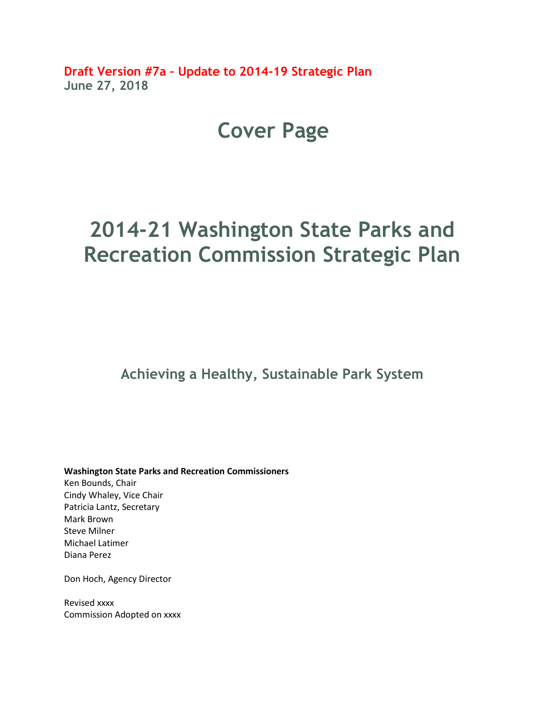**Draft Version #7a – Update to 2014-19 Strategic Plan June 27, 2018**

## **Cover Page**

# **2014-21 Washington State Parks and Recreation Commission Strategic Plan**

**Achieving a Healthy, Sustainable Park System**

**Washington State Parks and Recreation Commissioners** Ken Bounds, Chair Cindy Whaley, Vice Chair Patricia Lantz, Secretary Mark Brown Steve Milner Michael Latimer Diana Perez

Don Hoch, Agency Director

Revised xxxx Commission Adopted on xxxx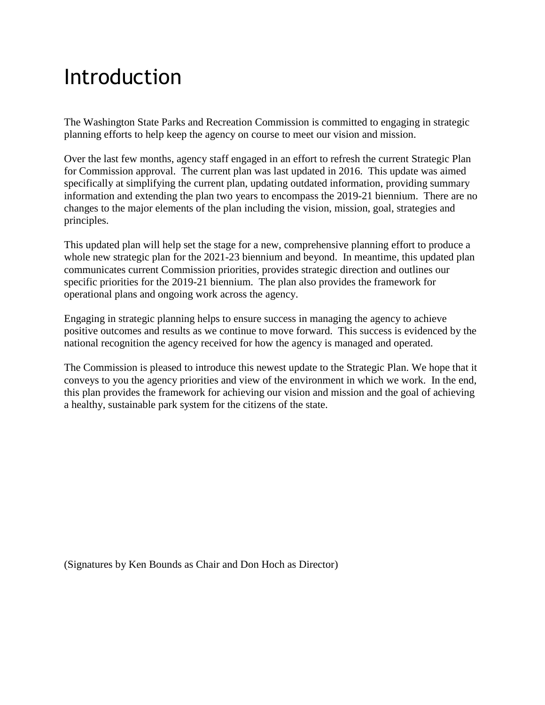# Introduction

The Washington State Parks and Recreation Commission is committed to engaging in strategic planning efforts to help keep the agency on course to meet our vision and mission.

Over the last few months, agency staff engaged in an effort to refresh the current Strategic Plan for Commission approval. The current plan was last updated in 2016. This update was aimed specifically at simplifying the current plan, updating outdated information, providing summary information and extending the plan two years to encompass the 2019-21 biennium. There are no changes to the major elements of the plan including the vision, mission, goal, strategies and principles.

This updated plan will help set the stage for a new, comprehensive planning effort to produce a whole new strategic plan for the 2021-23 biennium and beyond. In meantime, this updated plan communicates current Commission priorities, provides strategic direction and outlines our specific priorities for the 2019-21 biennium. The plan also provides the framework for operational plans and ongoing work across the agency.

Engaging in strategic planning helps to ensure success in managing the agency to achieve positive outcomes and results as we continue to move forward. This success is evidenced by the national recognition the agency received for how the agency is managed and operated.

The Commission is pleased to introduce this newest update to the Strategic Plan. We hope that it conveys to you the agency priorities and view of the environment in which we work. In the end, this plan provides the framework for achieving our vision and mission and the goal of achieving a healthy, sustainable park system for the citizens of the state.

(Signatures by Ken Bounds as Chair and Don Hoch as Director)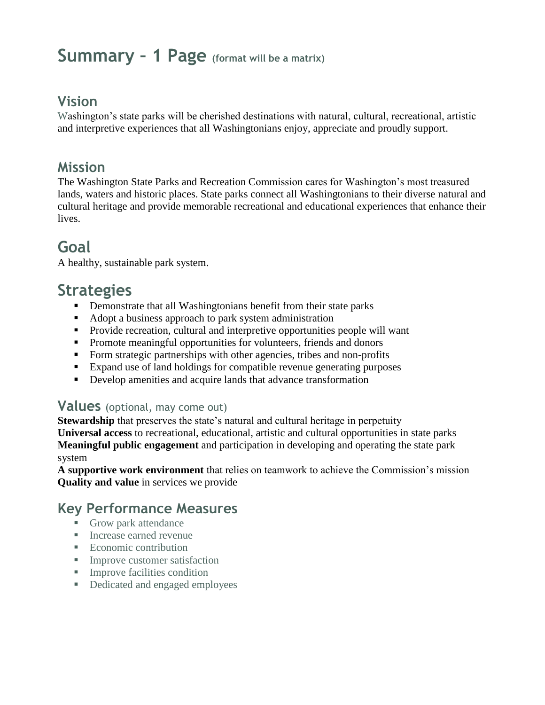## **Summary – 1 Page (format will be a matrix)**

## **Vision**

Washington's state parks will be cherished destinations with natural, cultural, recreational, artistic and interpretive experiences that all Washingtonians enjoy, appreciate and proudly support.

## **Mission**

The Washington State Parks and Recreation Commission cares for Washington's most treasured lands, waters and historic places. State parks connect all Washingtonians to their diverse natural and cultural heritage and provide memorable recreational and educational experiences that enhance their lives.

## **Goal**

A healthy, sustainable park system.

## **Strategies**

- **•** Demonstrate that all Washingtonians benefit from their state parks
- Adopt a business approach to park system administration
- Provide recreation, cultural and interpretive opportunities people will want
- **•** Promote meaningful opportunities for volunteers, friends and donors
- Form strategic partnerships with other agencies, tribes and non-profits
- Expand use of land holdings for compatible revenue generating purposes
- Develop amenities and acquire lands that advance transformation

## **Values** (optional, may come out)

**Stewardship** that preserves the state's natural and cultural heritage in perpetuity **Universal access** to recreational, educational, artistic and cultural opportunities in state parks **Meaningful public engagement** and participation in developing and operating the state park system

**A supportive work environment** that relies on teamwork to achieve the Commission's mission **Quality and value** in services we provide

## **Key Performance Measures**

- Grow park attendance
- Increase earned revenue
- Economic contribution
- **Improve customer satisfaction**
- **Improve facilities condition**
- Dedicated and engaged employees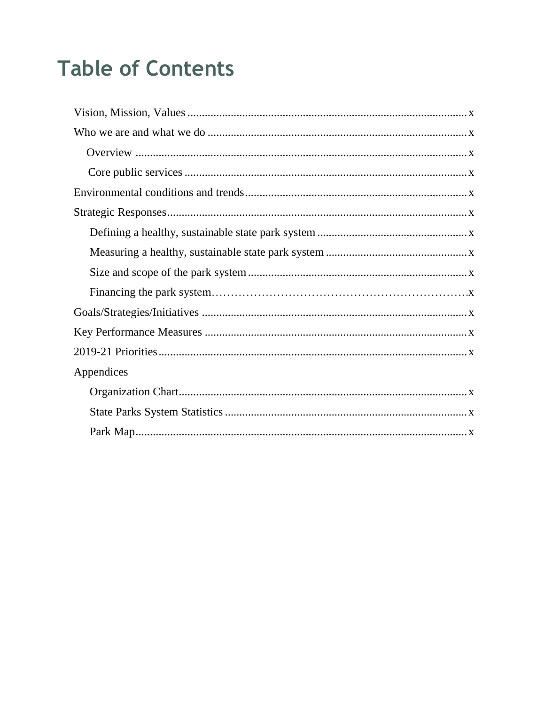# **Table of Contents**

| Appendices |
|------------|
|            |
|            |
|            |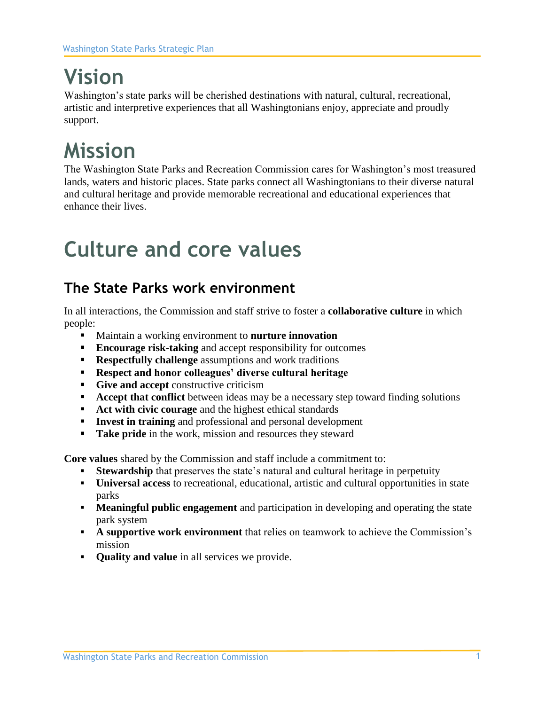# **Vision**

Washington's state parks will be cherished destinations with natural, cultural, recreational, artistic and interpretive experiences that all Washingtonians enjoy, appreciate and proudly support.

# **Mission**

The Washington State Parks and Recreation Commission cares for Washington's most treasured lands, waters and historic places. State parks connect all Washingtonians to their diverse natural and cultural heritage and provide memorable recreational and educational experiences that enhance their lives.

# **Culture and core values**

## **The State Parks work environment**

In all interactions, the Commission and staff strive to foster a **collaborative culture** in which people:

- Maintain a working environment to **nurture innovation**
- **Encourage risk-taking** and accept responsibility for outcomes
- **Respectfully challenge** assumptions and work traditions
- **Respect and honor colleagues' diverse cultural heritage**
- **Give and accept** constructive criticism
- **EXECED FINDIO EXECUTE:** Accept that conflict between ideas may be a necessary step toward finding solutions
- **Act with civic courage** and the highest ethical standards
- **Invest in training** and professional and personal development
- **Take pride** in the work, mission and resources they steward

**Core values** shared by the Commission and staff include a commitment to:

- **Example 1 Stewardship** that preserves the state's natural and cultural heritage in perpetuity
- **Universal access** to recreational, educational, artistic and cultural opportunities in state parks
- **Meaningful public engagement** and participation in developing and operating the state park system
- **A supportive work environment** that relies on teamwork to achieve the Commission's mission
- **Quality and value** in all services we provide.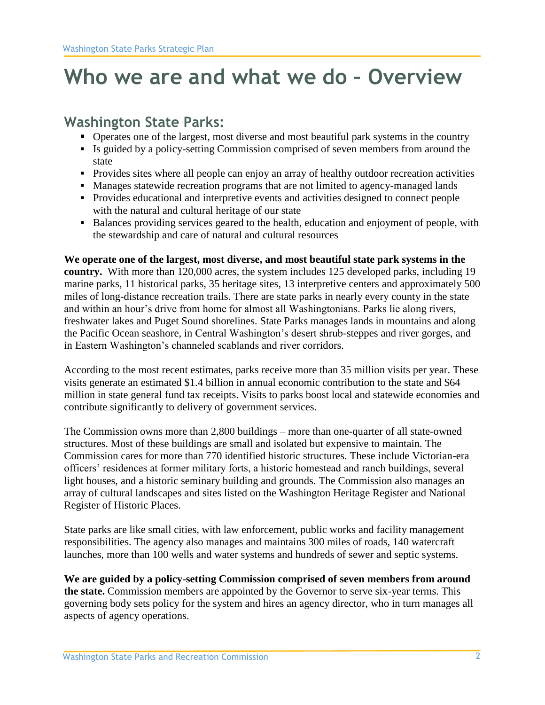# **Who we are and what we do – Overview**

## **Washington State Parks:**

- Operates one of the largest, most diverse and most beautiful park systems in the country
- Is guided by a policy-setting Commission comprised of seven members from around the state
- **•** Provides sites where all people can enjoy an array of healthy outdoor recreation activities
- Manages statewide recreation programs that are not limited to agency-managed lands
- Provides educational and interpretive events and activities designed to connect people with the natural and cultural heritage of our state
- Balances providing services geared to the health, education and enjoyment of people, with the stewardship and care of natural and cultural resources

**We operate one of the largest, most diverse, and most beautiful state park systems in the country.** With more than 120,000 acres, the system includes 125 developed parks, including 19 marine parks, 11 historical parks, 35 heritage sites, 13 interpretive centers and approximately 500 miles of long-distance recreation trails. There are state parks in nearly every county in the state and within an hour's drive from home for almost all Washingtonians. Parks lie along rivers, freshwater lakes and Puget Sound shorelines. State Parks manages lands in mountains and along the Pacific Ocean seashore, in Central Washington's desert shrub-steppes and river gorges, and in Eastern Washington's channeled scablands and river corridors.

According to the most recent estimates, parks receive more than 35 million visits per year. These visits generate an estimated \$1.4 billion in annual economic contribution to the state and \$64 million in state general fund tax receipts. Visits to parks boost local and statewide economies and contribute significantly to delivery of government services.

The Commission owns more than 2,800 buildings – more than one-quarter of all state-owned structures. Most of these buildings are small and isolated but expensive to maintain. The Commission cares for more than 770 identified historic structures. These include Victorian-era officers' residences at former military forts, a historic homestead and ranch buildings, several light houses, and a historic seminary building and grounds. The Commission also manages an array of cultural landscapes and sites listed on the Washington Heritage Register and National Register of Historic Places.

State parks are like small cities, with law enforcement, public works and facility management responsibilities. The agency also manages and maintains 300 miles of roads, 140 watercraft launches, more than 100 wells and water systems and hundreds of sewer and septic systems.

**We are guided by a policy-setting Commission comprised of seven members from around the state.** Commission members are appointed by the Governor to serve six-year terms. This governing body sets policy for the system and hires an agency director, who in turn manages all aspects of agency operations.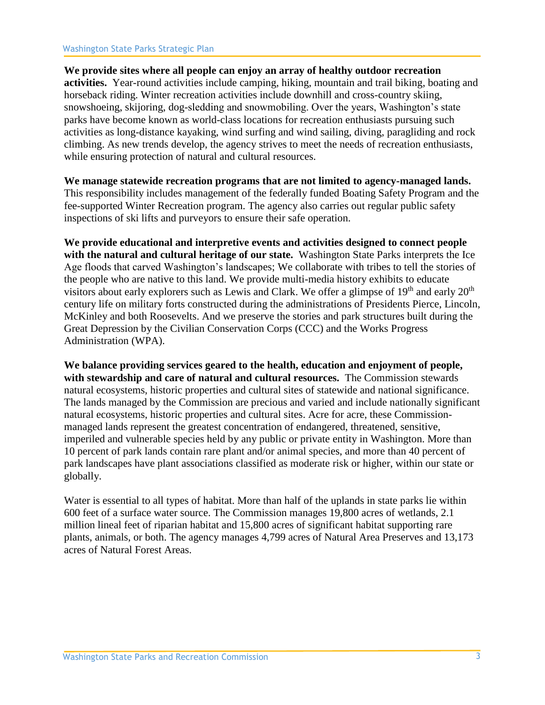#### Washington State Parks Strategic Plan

**We provide sites where all people can enjoy an array of healthy outdoor recreation activities.** Year-round activities include camping, hiking, mountain and trail biking, boating and horseback riding. Winter recreation activities include downhill and cross-country skiing, snowshoeing, skijoring, dog-sledding and snowmobiling. Over the years, Washington's state parks have become known as world-class locations for recreation enthusiasts pursuing such activities as long-distance kayaking, wind surfing and wind sailing, diving, paragliding and rock climbing. As new trends develop, the agency strives to meet the needs of recreation enthusiasts, while ensuring protection of natural and cultural resources.

**We manage statewide recreation programs that are not limited to agency-managed lands.**  This responsibility includes management of the federally funded Boating Safety Program and the

fee-supported Winter Recreation program. The agency also carries out regular public safety inspections of ski lifts and purveyors to ensure their safe operation.

**We provide educational and interpretive events and activities designed to connect people with the natural and cultural heritage of our state.** Washington State Parks interprets the Ice Age floods that carved Washington's landscapes; We collaborate with tribes to tell the stories of the people who are native to this land. We provide multi-media history exhibits to educate visitors about early explorers such as Lewis and Clark. We offer a glimpse of  $19<sup>th</sup>$  and early  $20<sup>th</sup>$ century life on military forts constructed during the administrations of Presidents Pierce, Lincoln, McKinley and both Roosevelts. And we preserve the stories and park structures built during the Great Depression by the Civilian Conservation Corps (CCC) and the Works Progress Administration (WPA).

**We balance providing services geared to the health, education and enjoyment of people, with stewardship and care of natural and cultural resources.** The Commission stewards natural ecosystems, historic properties and cultural sites of statewide and national significance. The lands managed by the Commission are precious and varied and include nationally significant natural ecosystems, historic properties and cultural sites. Acre for acre, these Commissionmanaged lands represent the greatest concentration of endangered, threatened, sensitive, imperiled and vulnerable species held by any public or private entity in Washington. More than 10 percent of park lands contain rare plant and/or animal species, and more than 40 percent of park landscapes have plant associations classified as moderate risk or higher, within our state or globally.

Water is essential to all types of habitat. More than half of the uplands in state parks lie within 600 feet of a surface water source. The Commission manages 19,800 acres of wetlands, 2.1 million lineal feet of riparian habitat and 15,800 acres of significant habitat supporting rare plants, animals, or both. The agency manages 4,799 acres of Natural Area Preserves and 13,173 acres of Natural Forest Areas.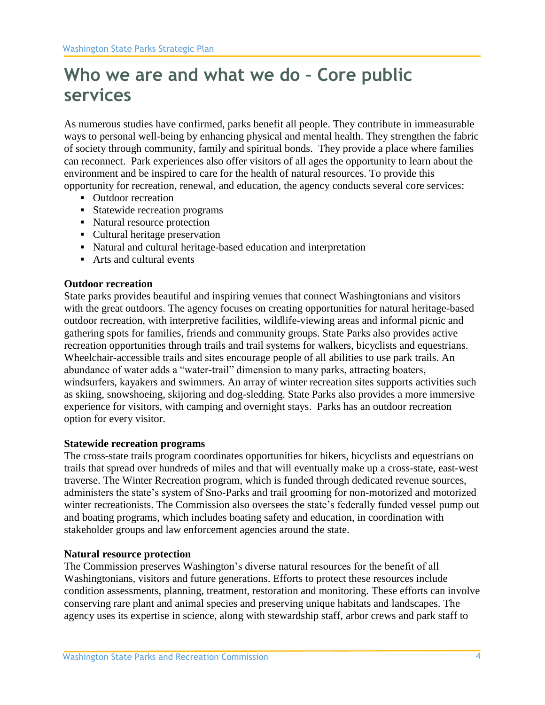## **Who we are and what we do – Core public services**

As numerous studies have confirmed, parks benefit all people. They contribute in immeasurable ways to personal well-being by enhancing physical and mental health. They strengthen the fabric of society through community, family and spiritual bonds. They provide a place where families can reconnect. Park experiences also offer visitors of all ages the opportunity to learn about the environment and be inspired to care for the health of natural resources. To provide this opportunity for recreation, renewal, and education, the agency conducts several core services:

- Outdoor recreation
- Statewide recreation programs
- Natural resource protection
- Cultural heritage preservation
- Natural and cultural heritage-based education and interpretation
- Arts and cultural events

#### **Outdoor recreation**

State parks provides beautiful and inspiring venues that connect Washingtonians and visitors with the great outdoors. The agency focuses on creating opportunities for natural heritage-based outdoor recreation, with interpretive facilities, wildlife-viewing areas and informal picnic and gathering spots for families, friends and community groups. State Parks also provides active recreation opportunities through trails and trail systems for walkers, bicyclists and equestrians. Wheelchair-accessible trails and sites encourage people of all abilities to use park trails. An abundance of water adds a "water-trail" dimension to many parks, attracting boaters, windsurfers, kayakers and swimmers. An array of winter recreation sites supports activities such as skiing, snowshoeing, skijoring and dog-sledding. State Parks also provides a more immersive experience for visitors, with camping and overnight stays. Parks has an outdoor recreation option for every visitor.

#### **Statewide recreation programs**

The cross-state trails program coordinates opportunities for hikers, bicyclists and equestrians on trails that spread over hundreds of miles and that will eventually make up a cross-state, east-west traverse. The Winter Recreation program, which is funded through dedicated revenue sources, administers the state's system of Sno-Parks and trail grooming for non-motorized and motorized winter recreationists. The Commission also oversees the state's federally funded vessel pump out and boating programs, which includes boating safety and education, in coordination with stakeholder groups and law enforcement agencies around the state.

#### **Natural resource protection**

The Commission preserves Washington's diverse natural resources for the benefit of all Washingtonians, visitors and future generations. Efforts to protect these resources include condition assessments, planning, treatment, restoration and monitoring. These efforts can involve conserving rare plant and animal species and preserving unique habitats and landscapes. The agency uses its expertise in science, along with stewardship staff, arbor crews and park staff to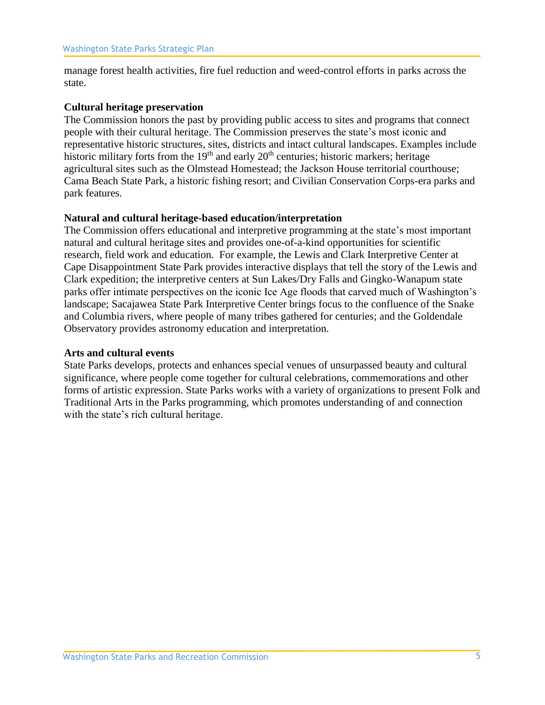manage forest health activities, fire fuel reduction and weed-control efforts in parks across the state.

#### **Cultural heritage preservation**

The Commission honors the past by providing public access to sites and programs that connect people with their cultural heritage. The Commission preserves the state's most iconic and representative historic structures, sites, districts and intact cultural landscapes. Examples include historic military forts from the  $19<sup>th</sup>$  and early  $20<sup>th</sup>$  centuries; historic markers; heritage agricultural sites such as the Olmstead Homestead; the Jackson House territorial courthouse; Cama Beach State Park, a historic fishing resort; and Civilian Conservation Corps-era parks and park features.

#### **Natural and cultural heritage-based education/interpretation**

The Commission offers educational and interpretive programming at the state's most important natural and cultural heritage sites and provides one-of-a-kind opportunities for scientific research, field work and education. For example, the Lewis and Clark Interpretive Center at Cape Disappointment State Park provides interactive displays that tell the story of the Lewis and Clark expedition; the interpretive centers at Sun Lakes/Dry Falls and Gingko-Wanapum state parks offer intimate perspectives on the iconic Ice Age floods that carved much of Washington's landscape; Sacajawea State Park Interpretive Center brings focus to the confluence of the Snake and Columbia rivers, where people of many tribes gathered for centuries; and the Goldendale Observatory provides astronomy education and interpretation.

#### **Arts and cultural events**

State Parks develops, protects and enhances special venues of unsurpassed beauty and cultural significance, where people come together for cultural celebrations, commemorations and other forms of artistic expression. State Parks works with a variety of organizations to present Folk and Traditional Arts in the Parks programming, which promotes understanding of and connection with the state's rich cultural heritage.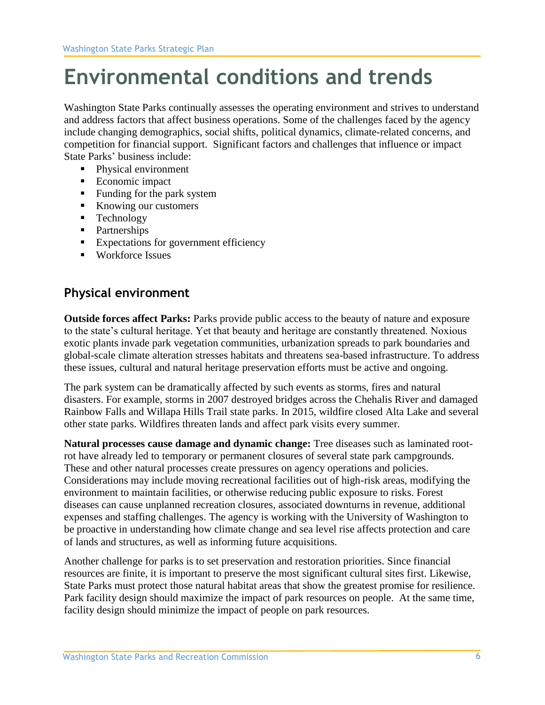# **Environmental conditions and trends**

Washington State Parks continually assesses the operating environment and strives to understand and address factors that affect business operations. Some of the challenges faced by the agency include changing demographics, social shifts, political dynamics, climate-related concerns, and competition for financial support. Significant factors and challenges that influence or impact State Parks' business include:

- Physical environment
- Economic impact
- Funding for the park system
- Knowing our customers
- Technology
- Partnerships
- Expectations for government efficiency
- Workforce Issues

## **Physical environment**

**Outside forces affect Parks:** Parks provide public access to the beauty of nature and exposure to the state's cultural heritage. Yet that beauty and heritage are constantly threatened. Noxious exotic plants invade park vegetation communities, urbanization spreads to park boundaries and global-scale climate alteration stresses habitats and threatens sea-based infrastructure. To address these issues, cultural and natural heritage preservation efforts must be active and ongoing.

The park system can be dramatically affected by such events as storms, fires and natural disasters. For example, storms in 2007 destroyed bridges across the Chehalis River and damaged Rainbow Falls and Willapa Hills Trail state parks. In 2015, wildfire closed Alta Lake and several other state parks. Wildfires threaten lands and affect park visits every summer.

**Natural processes cause damage and dynamic change:** Tree diseases such as laminated rootrot have already led to temporary or permanent closures of several state park campgrounds. These and other natural processes create pressures on agency operations and policies. Considerations may include moving recreational facilities out of high-risk areas, modifying the environment to maintain facilities, or otherwise reducing public exposure to risks. Forest diseases can cause unplanned recreation closures, associated downturns in revenue, additional expenses and staffing challenges. The agency is working with the University of Washington to be proactive in understanding how climate change and sea level rise affects protection and care of lands and structures, as well as informing future acquisitions.

Another challenge for parks is to set preservation and restoration priorities. Since financial resources are finite, it is important to preserve the most significant cultural sites first. Likewise, State Parks must protect those natural habitat areas that show the greatest promise for resilience. Park facility design should maximize the impact of park resources on people. At the same time, facility design should minimize the impact of people on park resources.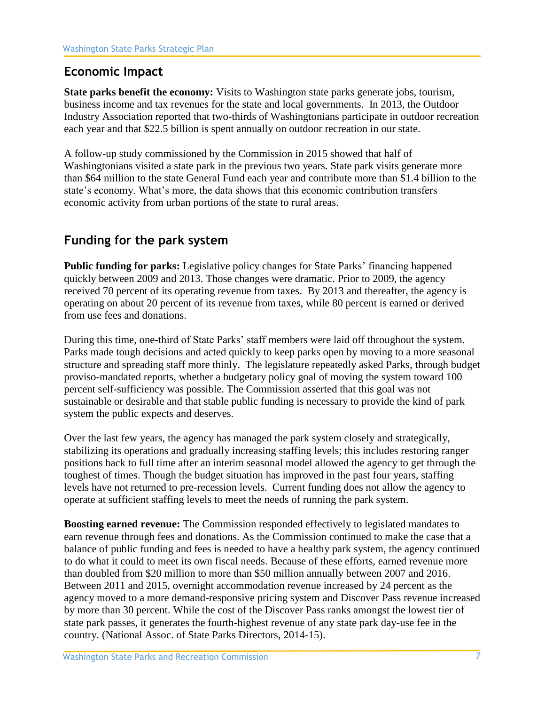## **Economic Impact**

**State parks benefit the economy:** Visits to Washington state parks generate jobs, tourism, business income and tax revenues for the state and local governments. In 2013, the Outdoor Industry Association reported that two-thirds of Washingtonians participate in outdoor recreation each year and that \$22.5 billion is spent annually on outdoor recreation in our state.

A follow-up study commissioned by the Commission in 2015 showed that half of Washingtonians visited a state park in the previous two years. State park visits generate more than \$64 million to the state General Fund each year and contribute more than \$1.4 billion to the state's economy. What's more, the data shows that this economic contribution transfers economic activity from urban portions of the state to rural areas.

## **Funding for the park system**

**Public funding for parks:** Legislative policy changes for State Parks' financing happened quickly between 2009 and 2013. Those changes were dramatic. Prior to 2009, the agency received 70 percent of its operating revenue from taxes. By 2013 and thereafter, the agency is operating on about 20 percent of its revenue from taxes, while 80 percent is earned or derived from use fees and donations.

During this time, one-third of State Parks' staff members were laid off throughout the system. Parks made tough decisions and acted quickly to keep parks open by moving to a more seasonal structure and spreading staff more thinly. The legislature repeatedly asked Parks, through budget proviso-mandated reports, whether a budgetary policy goal of moving the system toward 100 percent self-sufficiency was possible. The Commission asserted that this goal was not sustainable or desirable and that stable public funding is necessary to provide the kind of park system the public expects and deserves.

Over the last few years, the agency has managed the park system closely and strategically, stabilizing its operations and gradually increasing staffing levels; this includes restoring ranger positions back to full time after an interim seasonal model allowed the agency to get through the toughest of times. Though the budget situation has improved in the past four years, staffing levels have not returned to pre-recession levels. Current funding does not allow the agency to operate at sufficient staffing levels to meet the needs of running the park system.

**Boosting earned revenue:** The Commission responded effectively to legislated mandates to earn revenue through fees and donations. As the Commission continued to make the case that a balance of public funding and fees is needed to have a healthy park system, the agency continued to do what it could to meet its own fiscal needs. Because of these efforts, earned revenue more than doubled from \$20 million to more than \$50 million annually between 2007 and 2016. Between 2011 and 2015, overnight accommodation revenue increased by 24 percent as the agency moved to a more demand-responsive pricing system and Discover Pass revenue increased by more than 30 percent. While the cost of the Discover Pass ranks amongst the lowest tier of state park passes, it generates the fourth-highest revenue of any state park day-use fee in the country. (National Assoc. of State Parks Directors, 2014-15).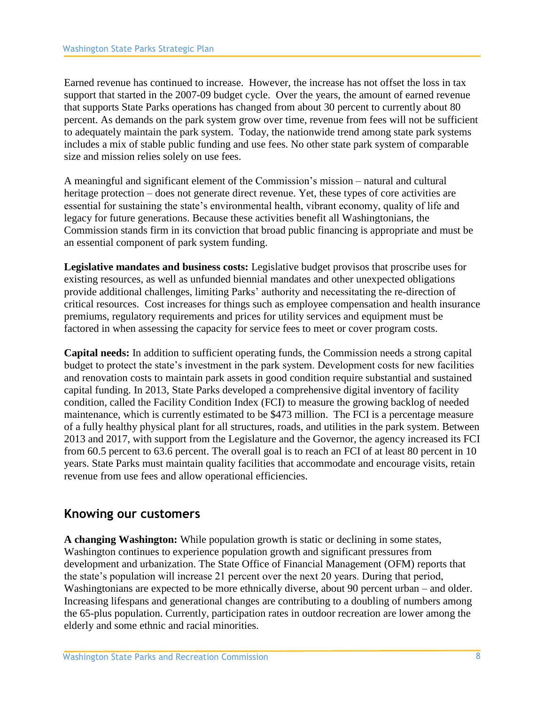Earned revenue has continued to increase. However, the increase has not offset the loss in tax support that started in the 2007-09 budget cycle. Over the years, the amount of earned revenue that supports State Parks operations has changed from about 30 percent to currently about 80 percent. As demands on the park system grow over time, revenue from fees will not be sufficient to adequately maintain the park system. Today, the nationwide trend among state park systems includes a mix of stable public funding and use fees. No other state park system of comparable size and mission relies solely on use fees.

A meaningful and significant element of the Commission's mission – natural and cultural heritage protection – does not generate direct revenue. Yet, these types of core activities are essential for sustaining the state's environmental health, vibrant economy, quality of life and legacy for future generations. Because these activities benefit all Washingtonians, the Commission stands firm in its conviction that broad public financing is appropriate and must be an essential component of park system funding.

**Legislative mandates and business costs:** Legislative budget provisos that proscribe uses for existing resources, as well as unfunded biennial mandates and other unexpected obligations provide additional challenges, limiting Parks' authority and necessitating the re-direction of critical resources. Cost increases for things such as employee compensation and health insurance premiums, regulatory requirements and prices for utility services and equipment must be factored in when assessing the capacity for service fees to meet or cover program costs.

**Capital needs:** In addition to sufficient operating funds, the Commission needs a strong capital budget to protect the state's investment in the park system. Development costs for new facilities and renovation costs to maintain park assets in good condition require substantial and sustained capital funding. In 2013, State Parks developed a comprehensive digital inventory of facility condition, called the Facility Condition Index (FCI) to measure the growing backlog of needed maintenance, which is currently estimated to be \$473 million. The FCI is a percentage measure of a fully healthy physical plant for all structures, roads, and utilities in the park system. Between 2013 and 2017, with support from the Legislature and the Governor, the agency increased its FCI from 60.5 percent to 63.6 percent. The overall goal is to reach an FCI of at least 80 percent in 10 years. State Parks must maintain quality facilities that accommodate and encourage visits, retain revenue from use fees and allow operational efficiencies.

### **Knowing our customers**

**A changing Washington:** While population growth is static or declining in some states, Washington continues to experience population growth and significant pressures from development and urbanization. The State Office of Financial Management (OFM) reports that the state's population will increase 21 percent over the next 20 years. During that period, Washingtonians are expected to be more ethnically diverse, about 90 percent urban – and older. Increasing lifespans and generational changes are contributing to a doubling of numbers among the 65-plus population. Currently, participation rates in outdoor recreation are lower among the elderly and some ethnic and racial minorities.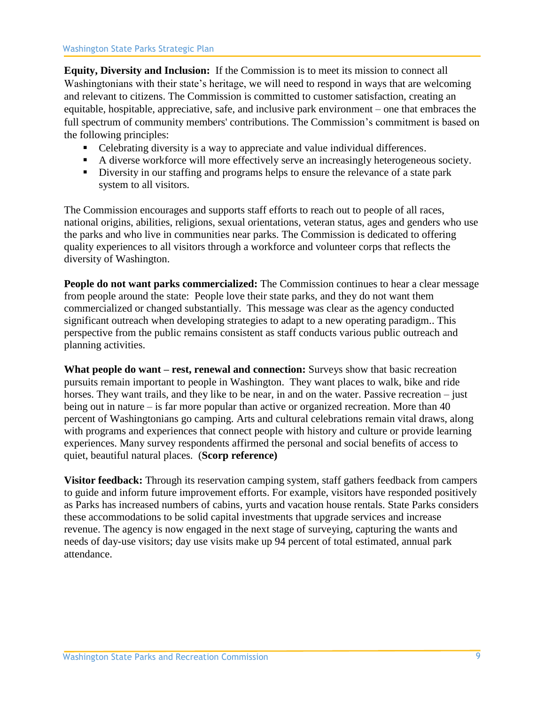**Equity, Diversity and Inclusion:** If the Commission is to meet its mission to connect all Washingtonians with their state's heritage, we will need to respond in ways that are welcoming and relevant to citizens. The Commission is committed to customer satisfaction, creating an equitable, hospitable, appreciative, safe, and inclusive park environment – one that embraces the full spectrum of community members' contributions. The Commission's commitment is based on the following principles:

- Celebrating diversity is a way to appreciate and value individual differences.
- A diverse workforce will more effectively serve an increasingly heterogeneous society.
- **EXECUTE:** Diversity in our staffing and programs helps to ensure the relevance of a state park system to all visitors.

The Commission encourages and supports staff efforts to reach out to people of all races, national origins, abilities, religions, sexual orientations, veteran status, ages and genders who use the parks and who live in communities near parks. The Commission is dedicated to offering quality experiences to all visitors through a workforce and volunteer corps that reflects the diversity of Washington.

**People do not want parks commercialized:** The Commission continues to hear a clear message from people around the state: People love their state parks, and they do not want them commercialized or changed substantially. This message was clear as the agency conducted significant outreach when developing strategies to adapt to a new operating paradigm.. This perspective from the public remains consistent as staff conducts various public outreach and planning activities.

**What people do want – rest, renewal and connection:** Surveys show that basic recreation pursuits remain important to people in Washington. They want places to walk, bike and ride horses. They want trails, and they like to be near, in and on the water. Passive recreation – just being out in nature – is far more popular than active or organized recreation. More than 40 percent of Washingtonians go camping. Arts and cultural celebrations remain vital draws, along with programs and experiences that connect people with history and culture or provide learning experiences. Many survey respondents affirmed the personal and social benefits of access to quiet, beautiful natural places. (**Scorp reference)**

**Visitor feedback:** Through its reservation camping system, staff gathers feedback from campers to guide and inform future improvement efforts. For example, visitors have responded positively as Parks has increased numbers of cabins, yurts and vacation house rentals. State Parks considers these accommodations to be solid capital investments that upgrade services and increase revenue. The agency is now engaged in the next stage of surveying, capturing the wants and needs of day-use visitors; day use visits make up 94 percent of total estimated, annual park attendance.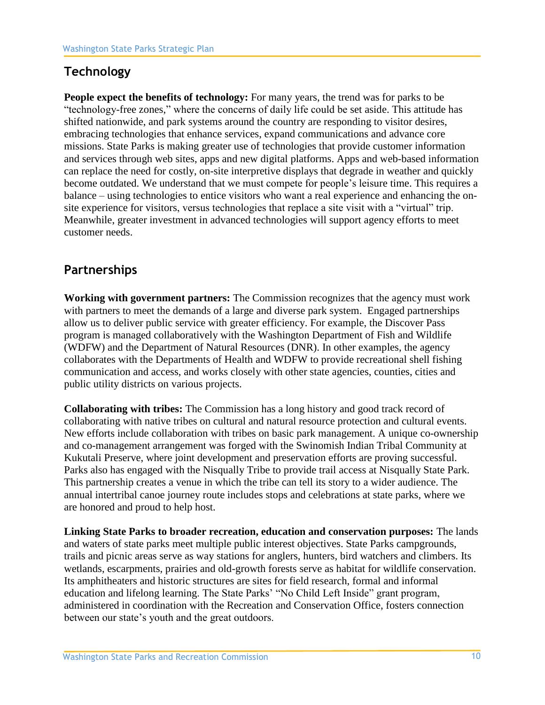## **Technology**

**People expect the benefits of technology:** For many years, the trend was for parks to be "technology-free zones," where the concerns of daily life could be set aside. This attitude has shifted nationwide, and park systems around the country are responding to visitor desires, embracing technologies that enhance services, expand communications and advance core missions. State Parks is making greater use of technologies that provide customer information and services through web sites, apps and new digital platforms. Apps and web-based information can replace the need for costly, on-site interpretive displays that degrade in weather and quickly become outdated. We understand that we must compete for people's leisure time. This requires a balance – using technologies to entice visitors who want a real experience and enhancing the onsite experience for visitors, versus technologies that replace a site visit with a "virtual" trip. Meanwhile, greater investment in advanced technologies will support agency efforts to meet customer needs.

## **Partnerships**

**Working with government partners:** The Commission recognizes that the agency must work with partners to meet the demands of a large and diverse park system. Engaged partnerships allow us to deliver public service with greater efficiency. For example, the Discover Pass program is managed collaboratively with the Washington Department of Fish and Wildlife (WDFW) and the Department of Natural Resources (DNR). In other examples, the agency collaborates with the Departments of Health and WDFW to provide recreational shell fishing communication and access, and works closely with other state agencies, counties, cities and public utility districts on various projects.

**Collaborating with tribes:** The Commission has a long history and good track record of collaborating with native tribes on cultural and natural resource protection and cultural events. New efforts include collaboration with tribes on basic park management. A unique co-ownership and co-management arrangement was forged with the Swinomish Indian Tribal Community at Kukutali Preserve, where joint development and preservation efforts are proving successful. Parks also has engaged with the Nisqually Tribe to provide trail access at Nisqually State Park. This partnership creates a venue in which the tribe can tell its story to a wider audience. The annual intertribal canoe journey route includes stops and celebrations at state parks, where we are honored and proud to help host.

**Linking State Parks to broader recreation, education and conservation purposes:** The lands and waters of state parks meet multiple public interest objectives. State Parks campgrounds, trails and picnic areas serve as way stations for anglers, hunters, bird watchers and climbers. Its wetlands, escarpments, prairies and old-growth forests serve as habitat for wildlife conservation. Its amphitheaters and historic structures are sites for field research, formal and informal education and lifelong learning. The State Parks' "No Child Left Inside" grant program, administered in coordination with the Recreation and Conservation Office, fosters connection between our state's youth and the great outdoors.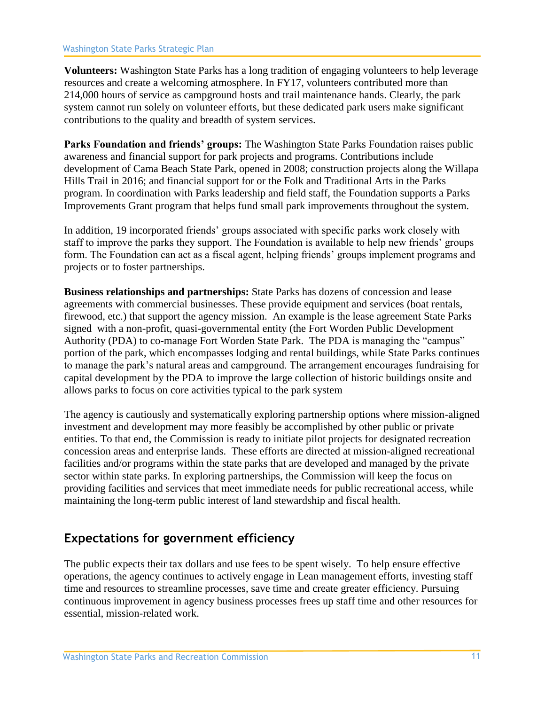**Volunteers:** Washington State Parks has a long tradition of engaging volunteers to help leverage resources and create a welcoming atmosphere. In FY17, volunteers contributed more than 214,000 hours of service as campground hosts and trail maintenance hands. Clearly, the park system cannot run solely on volunteer efforts, but these dedicated park users make significant contributions to the quality and breadth of system services.

**Parks Foundation and friends' groups:** The Washington State Parks Foundation raises public awareness and financial support for park projects and programs. Contributions include development of Cama Beach State Park, opened in 2008; construction projects along the Willapa Hills Trail in 2016; and financial support for or the Folk and Traditional Arts in the Parks program. In coordination with Parks leadership and field staff, the Foundation supports a Parks Improvements Grant program that helps fund small park improvements throughout the system.

In addition, 19 incorporated friends' groups associated with specific parks work closely with staff to improve the parks they support. The Foundation is available to help new friends' groups form. The Foundation can act as a fiscal agent, helping friends' groups implement programs and projects or to foster partnerships.

**Business relationships and partnerships:** State Parks has dozens of concession and lease agreements with commercial businesses. These provide equipment and services (boat rentals, firewood, etc.) that support the agency mission. An example is the lease agreement State Parks signed with a non-profit, quasi-governmental entity (the Fort Worden Public Development Authority (PDA) to co-manage Fort Worden State Park. The PDA is managing the "campus" portion of the park, which encompasses lodging and rental buildings, while State Parks continues to manage the park's natural areas and campground. The arrangement encourages fundraising for capital development by the PDA to improve the large collection of historic buildings onsite and allows parks to focus on core activities typical to the park system

The agency is cautiously and systematically exploring partnership options where mission-aligned investment and development may more feasibly be accomplished by other public or private entities. To that end, the Commission is ready to initiate pilot projects for designated recreation concession areas and enterprise lands. These efforts are directed at mission-aligned recreational facilities and/or programs within the state parks that are developed and managed by the private sector within state parks. In exploring partnerships, the Commission will keep the focus on providing facilities and services that meet immediate needs for public recreational access, while maintaining the long-term public interest of land stewardship and fiscal health.

## **Expectations for government efficiency**

The public expects their tax dollars and use fees to be spent wisely. To help ensure effective operations, the agency continues to actively engage in Lean management efforts, investing staff time and resources to streamline processes, save time and create greater efficiency. Pursuing continuous improvement in agency business processes frees up staff time and other resources for essential, mission-related work.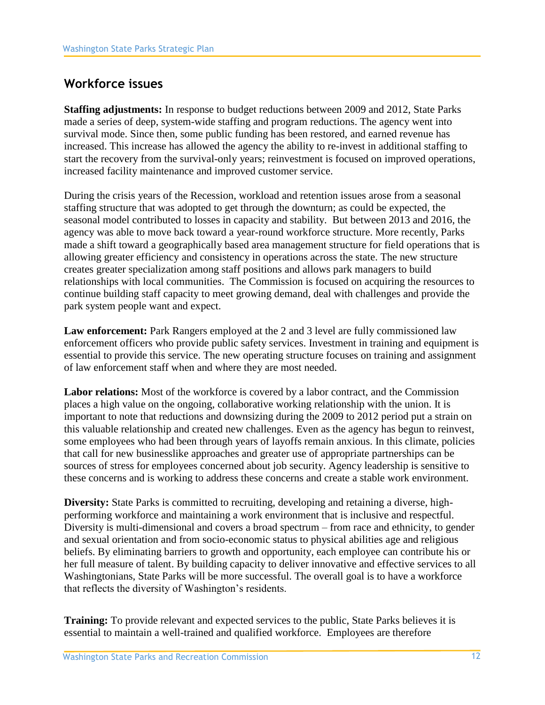## **Workforce issues**

**Staffing adjustments:** In response to budget reductions between 2009 and 2012, State Parks made a series of deep, system-wide staffing and program reductions. The agency went into survival mode. Since then, some public funding has been restored, and earned revenue has increased. This increase has allowed the agency the ability to re-invest in additional staffing to start the recovery from the survival-only years; reinvestment is focused on improved operations, increased facility maintenance and improved customer service.

During the crisis years of the Recession, workload and retention issues arose from a seasonal staffing structure that was adopted to get through the downturn; as could be expected, the seasonal model contributed to losses in capacity and stability. But between 2013 and 2016, the agency was able to move back toward a year-round workforce structure. More recently, Parks made a shift toward a geographically based area management structure for field operations that is allowing greater efficiency and consistency in operations across the state. The new structure creates greater specialization among staff positions and allows park managers to build relationships with local communities. The Commission is focused on acquiring the resources to continue building staff capacity to meet growing demand, deal with challenges and provide the park system people want and expect.

**Law enforcement:** Park Rangers employed at the 2 and 3 level are fully commissioned law enforcement officers who provide public safety services. Investment in training and equipment is essential to provide this service. The new operating structure focuses on training and assignment of law enforcement staff when and where they are most needed.

**Labor relations:** Most of the workforce is covered by a labor contract, and the Commission places a high value on the ongoing, collaborative working relationship with the union. It is important to note that reductions and downsizing during the 2009 to 2012 period put a strain on this valuable relationship and created new challenges. Even as the agency has begun to reinvest, some employees who had been through years of layoffs remain anxious. In this climate, policies that call for new businesslike approaches and greater use of appropriate partnerships can be sources of stress for employees concerned about job security. Agency leadership is sensitive to these concerns and is working to address these concerns and create a stable work environment.

**Diversity:** State Parks is committed to recruiting, developing and retaining a diverse, highperforming workforce and maintaining a work environment that is inclusive and respectful. Diversity is multi-dimensional and covers a broad spectrum – from race and ethnicity, to gender and sexual orientation and from socio-economic status to physical abilities age and religious beliefs. By eliminating barriers to growth and opportunity, each employee can contribute his or her full measure of talent. By building capacity to deliver innovative and effective services to all Washingtonians, State Parks will be more successful. The overall goal is to have a workforce that reflects the diversity of Washington's residents.

**Training:** To provide relevant and expected services to the public, State Parks believes it is essential to maintain a well-trained and qualified workforce. Employees are therefore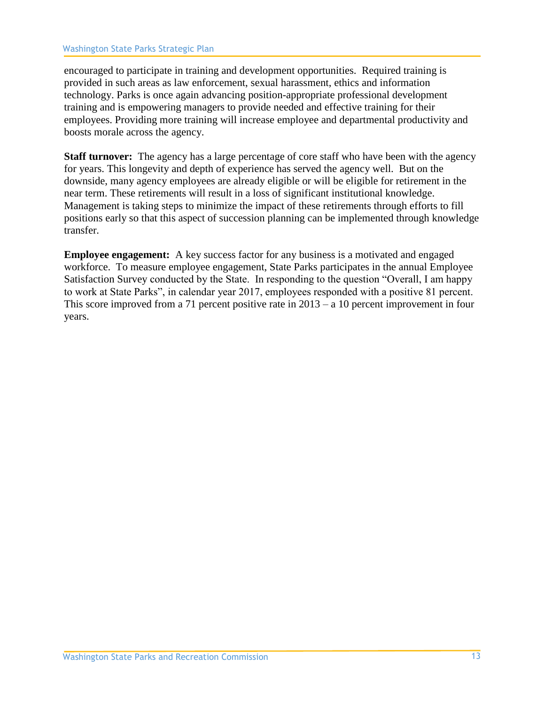encouraged to participate in training and development opportunities. Required training is provided in such areas as law enforcement, sexual harassment, ethics and information technology. Parks is once again advancing position-appropriate professional development training and is empowering managers to provide needed and effective training for their employees. Providing more training will increase employee and departmental productivity and boosts morale across the agency.

**Staff turnover:** The agency has a large percentage of core staff who have been with the agency for years. This longevity and depth of experience has served the agency well. But on the downside, many agency employees are already eligible or will be eligible for retirement in the near term. These retirements will result in a loss of significant institutional knowledge. Management is taking steps to minimize the impact of these retirements through efforts to fill positions early so that this aspect of succession planning can be implemented through knowledge transfer.

**Employee engagement:** A key success factor for any business is a motivated and engaged workforce. To measure employee engagement, State Parks participates in the annual Employee Satisfaction Survey conducted by the State. In responding to the question "Overall, I am happy to work at State Parks", in calendar year 2017, employees responded with a positive 81 percent. This score improved from a 71 percent positive rate in 2013 – a 10 percent improvement in four years.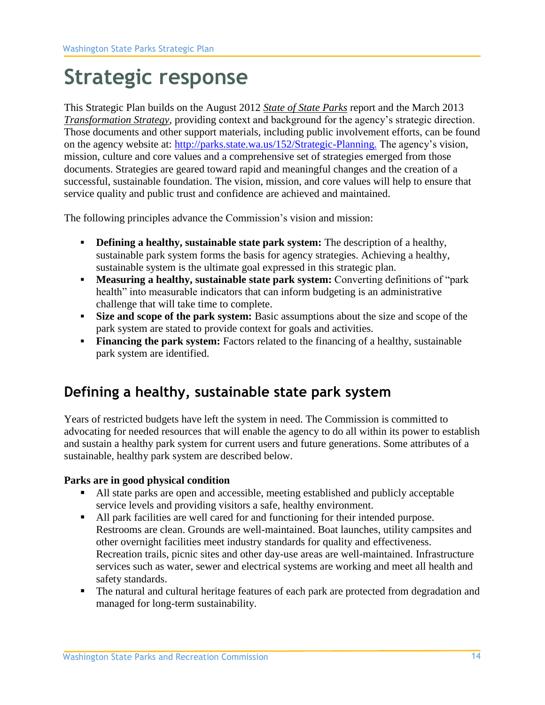# **Strategic response**

This Strategic Plan builds on the August 2012 *[State of State Parks](http://www.parks.wa.gov/Beyond2013/01State%20of%20State%20Parks%20-%20OFM%20report%20FINAL%20(8-13-12).pdf)* report and the March 2013 *[Transformation Strategy,](http://www.parks.wa.gov/Beyond2013/00Transformation%20Strategy%20-%20FINAL%20(3-21-13).pdf)* providing context and background for the agency's strategic direction. Those documents and other support materials, including public involvement efforts, can be found on the agency website at: [http://parks.state.wa.us/152/Strategic-Planning.](http://parks.state.wa.us/152/Strategic-Planning) The agency's vision, mission, culture and core values and a comprehensive set of strategies emerged from those documents. Strategies are geared toward rapid and meaningful changes and the creation of a successful, sustainable foundation. The vision, mission, and core values will help to ensure that service quality and public trust and confidence are achieved and maintained.

The following principles advance the Commission's vision and mission:

- **Defining a healthy, sustainable state park system:** The description of a healthy, sustainable park system forms the basis for agency strategies. Achieving a healthy, sustainable system is the ultimate goal expressed in this strategic plan.
- **Measuring a healthy, sustainable state park system:** Converting definitions of "park health" into measurable indicators that can inform budgeting is an administrative challenge that will take time to complete.
- **Size and scope of the park system:** Basic assumptions about the size and scope of the park system are stated to provide context for goals and activities.
- **Financing the park system:** Factors related to the financing of a healthy, sustainable park system are identified.

## **Defining a healthy, sustainable state park system**

Years of restricted budgets have left the system in need. The Commission is committed to advocating for needed resources that will enable the agency to do all within its power to establish and sustain a healthy park system for current users and future generations. Some attributes of a sustainable, healthy park system are described below.

#### **Parks are in good physical condition**

- All state parks are open and accessible, meeting established and publicly acceptable service levels and providing visitors a safe, healthy environment.
- All park facilities are well cared for and functioning for their intended purpose. Restrooms are clean. Grounds are well-maintained. Boat launches, utility campsites and other overnight facilities meet industry standards for quality and effectiveness. Recreation trails, picnic sites and other day-use areas are well-maintained. Infrastructure services such as water, sewer and electrical systems are working and meet all health and safety standards.
- The natural and cultural heritage features of each park are protected from degradation and managed for long-term sustainability.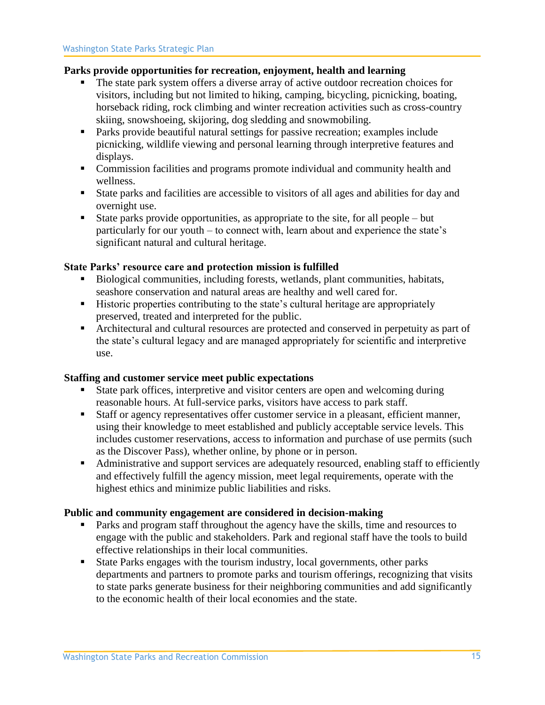#### **Parks provide opportunities for recreation, enjoyment, health and learning**

- The state park system offers a diverse array of active outdoor recreation choices for visitors, including but not limited to hiking, camping, bicycling, picnicking, boating, horseback riding, rock climbing and winter recreation activities such as cross-country skiing, snowshoeing, skijoring, dog sledding and snowmobiling.
- Parks provide beautiful natural settings for passive recreation; examples include picnicking, wildlife viewing and personal learning through interpretive features and displays.
- Commission facilities and programs promote individual and community health and wellness.
- State parks and facilities are accessible to visitors of all ages and abilities for day and overnight use.
- **Exercise 1** State parks provide opportunities, as appropriate to the site, for all people but particularly for our youth – to connect with, learn about and experience the state's significant natural and cultural heritage.

#### **State Parks' resource care and protection mission is fulfilled**

- Biological communities, including forests, wetlands, plant communities, habitats, seashore conservation and natural areas are healthy and well cared for.
- Historic properties contributing to the state's cultural heritage are appropriately preserved, treated and interpreted for the public.
- Architectural and cultural resources are protected and conserved in perpetuity as part of the state's cultural legacy and are managed appropriately for scientific and interpretive use.

#### **Staffing and customer service meet public expectations**

- State park offices, interpretive and visitor centers are open and welcoming during reasonable hours. At full-service parks, visitors have access to park staff.
- Staff or agency representatives offer customer service in a pleasant, efficient manner, using their knowledge to meet established and publicly acceptable service levels. This includes customer reservations, access to information and purchase of use permits (such as the Discover Pass), whether online, by phone or in person.
- Administrative and support services are adequately resourced, enabling staff to efficiently and effectively fulfill the agency mission, meet legal requirements, operate with the highest ethics and minimize public liabilities and risks.

#### **Public and community engagement are considered in decision-making**

- Parks and program staff throughout the agency have the skills, time and resources to engage with the public and stakeholders. Park and regional staff have the tools to build effective relationships in their local communities.
- State Parks engages with the tourism industry, local governments, other parks departments and partners to promote parks and tourism offerings, recognizing that visits to state parks generate business for their neighboring communities and add significantly to the economic health of their local economies and the state.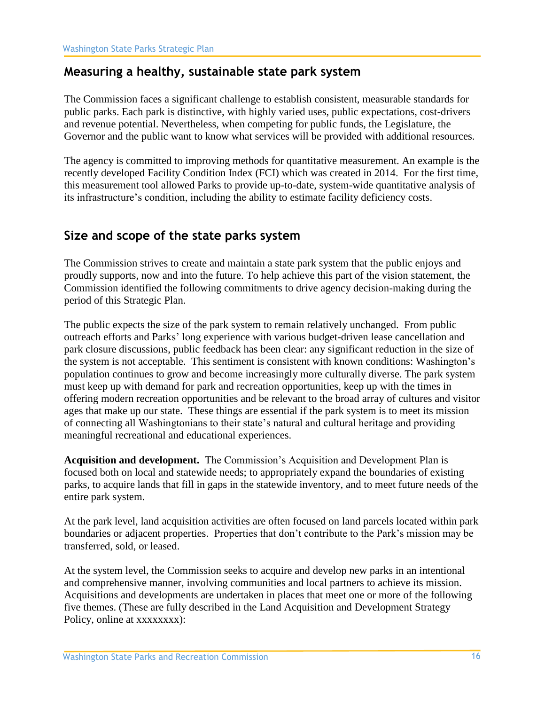### **Measuring a healthy, sustainable state park system**

The Commission faces a significant challenge to establish consistent, measurable standards for public parks. Each park is distinctive, with highly varied uses, public expectations, cost-drivers and revenue potential. Nevertheless, when competing for public funds, the Legislature, the Governor and the public want to know what services will be provided with additional resources.

The agency is committed to improving methods for quantitative measurement. An example is the recently developed Facility Condition Index (FCI) which was created in 2014. For the first time, this measurement tool allowed Parks to provide up-to-date, system-wide quantitative analysis of its infrastructure's condition, including the ability to estimate facility deficiency costs.

## **Size and scope of the state parks system**

The Commission strives to create and maintain a state park system that the public enjoys and proudly supports, now and into the future. To help achieve this part of the vision statement, the Commission identified the following commitments to drive agency decision-making during the period of this Strategic Plan.

The public expects the size of the park system to remain relatively unchanged. From public outreach efforts and Parks' long experience with various budget-driven lease cancellation and park closure discussions, public feedback has been clear: any significant reduction in the size of the system is not acceptable. This sentiment is consistent with known conditions: Washington's population continues to grow and become increasingly more culturally diverse. The park system must keep up with demand for park and recreation opportunities, keep up with the times in offering modern recreation opportunities and be relevant to the broad array of cultures and visitor ages that make up our state. These things are essential if the park system is to meet its mission of connecting all Washingtonians to their state's natural and cultural heritage and providing meaningful recreational and educational experiences.

**Acquisition and development.** The Commission's Acquisition and Development Plan is focused both on local and statewide needs; to appropriately expand the boundaries of existing parks, to acquire lands that fill in gaps in the statewide inventory, and to meet future needs of the entire park system.

At the park level, land acquisition activities are often focused on land parcels located within park boundaries or adjacent properties. Properties that don't contribute to the Park's mission may be transferred, sold, or leased.

At the system level, the Commission seeks to acquire and develop new parks in an intentional and comprehensive manner, involving communities and local partners to achieve its mission. Acquisitions and developments are undertaken in places that meet one or more of the following five themes. (These are fully described in the Land Acquisition and Development Strategy Policy, online at xxxxxxxx):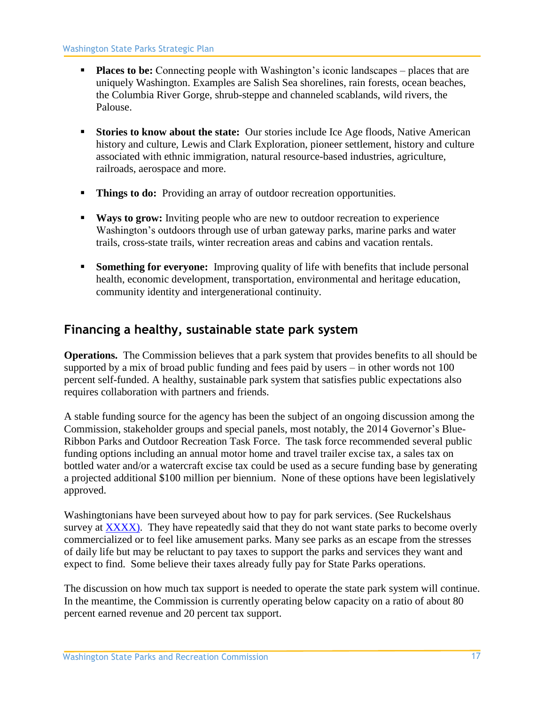- **Places to be:** Connecting people with Washington's iconic landscapes places that are uniquely Washington. Examples are Salish Sea shorelines, rain forests, ocean beaches, the Columbia River Gorge, shrub-steppe and channeled scablands, wild rivers, the Palouse.
- **Stories to know about the state:** Our stories include Ice Age floods, Native American history and culture, Lewis and Clark Exploration, pioneer settlement, history and culture associated with ethnic immigration, natural resource-based industries, agriculture, railroads, aerospace and more.
- **Things to do:** Providing an array of outdoor recreation opportunities.
- **Ways to grow:** Inviting people who are new to outdoor recreation to experience Washington's outdoors through use of urban gateway parks, marine parks and water trails, cross-state trails, winter recreation areas and cabins and vacation rentals.
- **EXECUTE: Something for everyone:** Improving quality of life with benefits that include personal health, economic development, transportation, environmental and heritage education, community identity and intergenerational continuity.

### **Financing a healthy, sustainable state park system**

**Operations.** The Commission believes that a park system that provides benefits to all should be supported by a mix of broad public funding and fees paid by users – in other words not 100 percent self-funded. A healthy, sustainable park system that satisfies public expectations also requires collaboration with partners and friends.

A stable funding source for the agency has been the subject of an ongoing discussion among the Commission, stakeholder groups and special panels, most notably, the 2014 Governor's Blue-Ribbon Parks and Outdoor Recreation Task Force. The task force recommended several public funding options including an annual motor home and travel trailer excise tax, a sales tax on bottled water and/or a watercraft excise tax could be used as a secure funding base by generating a projected additional \$100 million per biennium. None of these options have been legislatively approved.

Washingtonians have been surveyed about how to pay for park services. (See Ruckelshaus survey at XXXX). They have repeatedly said that they do not want state parks to become overly commercialized or to feel like amusement parks. Many see parks as an escape from the stresses of daily life but may be reluctant to pay taxes to support the parks and services they want and expect to find. Some believe their taxes already fully pay for State Parks operations.

The discussion on how much tax support is needed to operate the state park system will continue. In the meantime, the Commission is currently operating below capacity on a ratio of about 80 percent earned revenue and 20 percent tax support.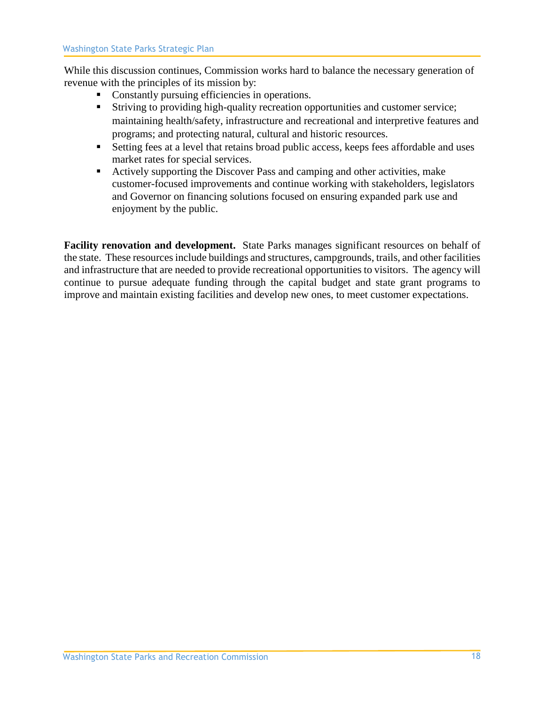While this discussion continues, Commission works hard to balance the necessary generation of revenue with the principles of its mission by:

- Constantly pursuing efficiencies in operations.
- Striving to providing high-quality recreation opportunities and customer service; maintaining health/safety, infrastructure and recreational and interpretive features and programs; and protecting natural, cultural and historic resources.
- Setting fees at a level that retains broad public access, keeps fees affordable and uses market rates for special services.
- Actively supporting the Discover Pass and camping and other activities, make customer-focused improvements and continue working with stakeholders, legislators and Governor on financing solutions focused on ensuring expanded park use and enjoyment by the public.

**Facility renovation and development.** State Parks manages significant resources on behalf of the state. These resources include buildings and structures, campgrounds, trails, and other facilities and infrastructure that are needed to provide recreational opportunities to visitors. The agency will continue to pursue adequate funding through the capital budget and state grant programs to improve and maintain existing facilities and develop new ones, to meet customer expectations.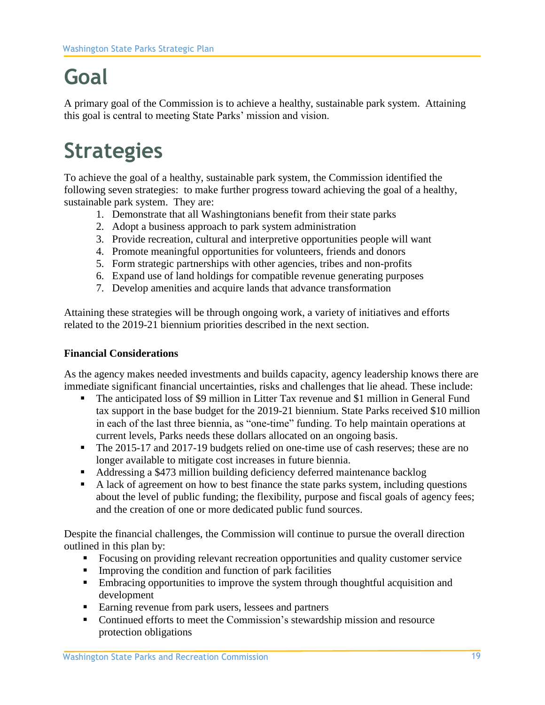# **Goal**

A primary goal of the Commission is to achieve a healthy, sustainable park system. Attaining this goal is central to meeting State Parks' mission and vision.

# **Strategies**

To achieve the goal of a healthy, sustainable park system, the Commission identified the following seven strategies: to make further progress toward achieving the goal of a healthy, sustainable park system. They are:

- 1. Demonstrate that all Washingtonians benefit from their state parks
- 2. Adopt a business approach to park system administration
- 3. Provide recreation, cultural and interpretive opportunities people will want
- 4. Promote meaningful opportunities for volunteers, friends and donors
- 5. Form strategic partnerships with other agencies, tribes and non-profits
- 6. Expand use of land holdings for compatible revenue generating purposes
- 7. Develop amenities and acquire lands that advance transformation

Attaining these strategies will be through ongoing work, a variety of initiatives and efforts related to the 2019-21 biennium priorities described in the next section.

#### **Financial Considerations**

As the agency makes needed investments and builds capacity, agency leadership knows there are immediate significant financial uncertainties, risks and challenges that lie ahead. These include:

- The anticipated loss of \$9 million in Litter Tax revenue and \$1 million in General Fund tax support in the base budget for the 2019-21 biennium. State Parks received \$10 million in each of the last three biennia, as "one-time" funding. To help maintain operations at current levels, Parks needs these dollars allocated on an ongoing basis.
- **•** The 2015-17 and 2017-19 budgets relied on one-time use of cash reserves; these are no longer available to mitigate cost increases in future biennia.
- Addressing a \$473 million building deficiency deferred maintenance backlog
- A lack of agreement on how to best finance the state parks system, including questions about the level of public funding; the flexibility, purpose and fiscal goals of agency fees; and the creation of one or more dedicated public fund sources.

Despite the financial challenges, the Commission will continue to pursue the overall direction outlined in this plan by:

- Focusing on providing relevant recreation opportunities and quality customer service
- Improving the condition and function of park facilities
- **Embracing opportunities to improve the system through thoughtful acquisition and** development
- Earning revenue from park users, lessees and partners
- Continued efforts to meet the Commission's stewardship mission and resource protection obligations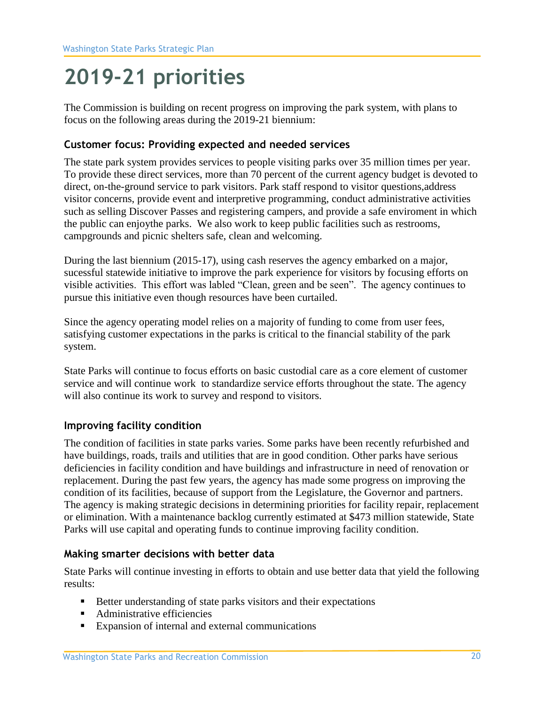# **2019-21 priorities**

The Commission is building on recent progress on improving the park system, with plans to focus on the following areas during the 2019-21 biennium:

#### **Customer focus: Providing expected and needed services**

The state park system provides services to people visiting parks over 35 million times per year. To provide these direct services, more than 70 percent of the current agency budget is devoted to direct, on-the-ground service to park visitors. Park staff respond to visitor questions,address visitor concerns, provide event and interpretive programming, conduct administrative activities such as selling Discover Passes and registering campers, and provide a safe enviroment in which the public can enjoythe parks. We also work to keep public facilities such as restrooms, campgrounds and picnic shelters safe, clean and welcoming.

During the last biennium (2015-17), using cash reserves the agency embarked on a major, sucessful statewide initiative to improve the park experience for visitors by focusing efforts on visible activities. This effort was labled "Clean, green and be seen". The agency continues to pursue this initiative even though resources have been curtailed.

Since the agency operating model relies on a majority of funding to come from user fees, satisfying customer expectations in the parks is critical to the financial stability of the park system.

State Parks will continue to focus efforts on basic custodial care as a core element of customer service and will continue work to standardize service efforts throughout the state. The agency will also continue its work to survey and respond to visitors.

#### **Improving facility condition**

The condition of facilities in state parks varies. Some parks have been recently refurbished and have buildings, roads, trails and utilities that are in good condition. Other parks have serious deficiencies in facility condition and have buildings and infrastructure in need of renovation or replacement. During the past few years, the agency has made some progress on improving the condition of its facilities, because of support from the Legislature, the Governor and partners. The agency is making strategic decisions in determining priorities for facility repair, replacement or elimination. With a maintenance backlog currently estimated at \$473 million statewide, State Parks will use capital and operating funds to continue improving facility condition.

#### **Making smarter decisions with better data**

State Parks will continue investing in efforts to obtain and use better data that yield the following results:

- Better understanding of state parks visitors and their expectations
- Administrative efficiencies
- Expansion of internal and external communications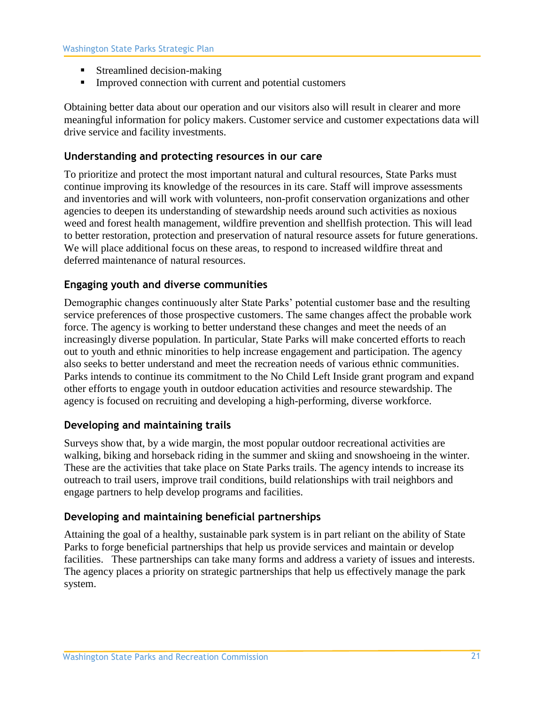- Streamlined decision-making
- Improved connection with current and potential customers

Obtaining better data about our operation and our visitors also will result in clearer and more meaningful information for policy makers. Customer service and customer expectations data will drive service and facility investments.

#### **Understanding and protecting resources in our care**

To prioritize and protect the most important natural and cultural resources, State Parks must continue improving its knowledge of the resources in its care. Staff will improve assessments and inventories and will work with volunteers, non-profit conservation organizations and other agencies to deepen its understanding of stewardship needs around such activities as noxious weed and forest health management, wildfire prevention and shellfish protection. This will lead to better restoration, protection and preservation of natural resource assets for future generations. We will place additional focus on these areas, to respond to increased wildfire threat and deferred maintenance of natural resources.

#### **Engaging youth and diverse communities**

Demographic changes continuously alter State Parks' potential customer base and the resulting service preferences of those prospective customers. The same changes affect the probable work force. The agency is working to better understand these changes and meet the needs of an increasingly diverse population. In particular, State Parks will make concerted efforts to reach out to youth and ethnic minorities to help increase engagement and participation. The agency also seeks to better understand and meet the recreation needs of various ethnic communities. Parks intends to continue its commitment to the No Child Left Inside grant program and expand other efforts to engage youth in outdoor education activities and resource stewardship. The agency is focused on recruiting and developing a high-performing, diverse workforce.

#### **Developing and maintaining trails**

Surveys show that, by a wide margin, the most popular outdoor recreational activities are walking, biking and horseback riding in the summer and skiing and snowshoeing in the winter. These are the activities that take place on State Parks trails. The agency intends to increase its outreach to trail users, improve trail conditions, build relationships with trail neighbors and engage partners to help develop programs and facilities.

#### **Developing and maintaining beneficial partnerships**

Attaining the goal of a healthy, sustainable park system is in part reliant on the ability of State Parks to forge beneficial partnerships that help us provide services and maintain or develop facilities. These partnerships can take many forms and address a variety of issues and interests. The agency places a priority on strategic partnerships that help us effectively manage the park system.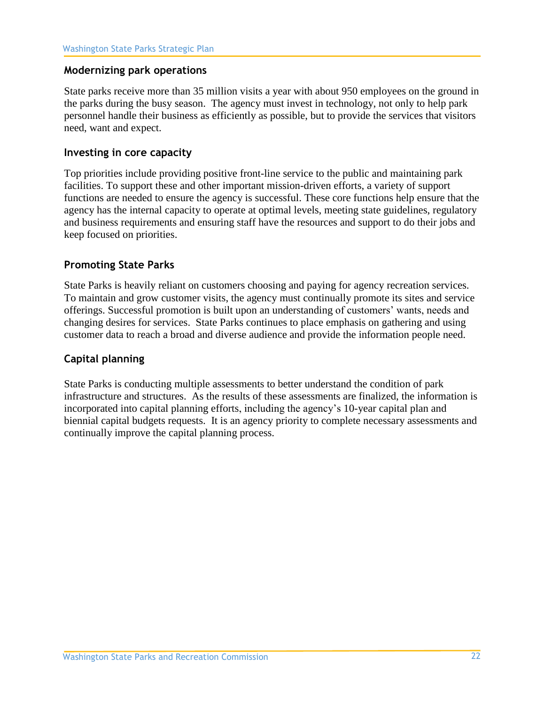#### **Modernizing park operations**

State parks receive more than 35 million visits a year with about 950 employees on the ground in the parks during the busy season. The agency must invest in technology, not only to help park personnel handle their business as efficiently as possible, but to provide the services that visitors need, want and expect.

#### **Investing in core capacity**

Top priorities include providing positive front-line service to the public and maintaining park facilities. To support these and other important mission-driven efforts, a variety of support functions are needed to ensure the agency is successful. These core functions help ensure that the agency has the internal capacity to operate at optimal levels, meeting state guidelines, regulatory and business requirements and ensuring staff have the resources and support to do their jobs and keep focused on priorities.

#### **Promoting State Parks**

State Parks is heavily reliant on customers choosing and paying for agency recreation services. To maintain and grow customer visits, the agency must continually promote its sites and service offerings. Successful promotion is built upon an understanding of customers' wants, needs and changing desires for services. State Parks continues to place emphasis on gathering and using customer data to reach a broad and diverse audience and provide the information people need.

#### **Capital planning**

State Parks is conducting multiple assessments to better understand the condition of park infrastructure and structures. As the results of these assessments are finalized, the information is incorporated into capital planning efforts, including the agency's 10-year capital plan and biennial capital budgets requests. It is an agency priority to complete necessary assessments and continually improve the capital planning process.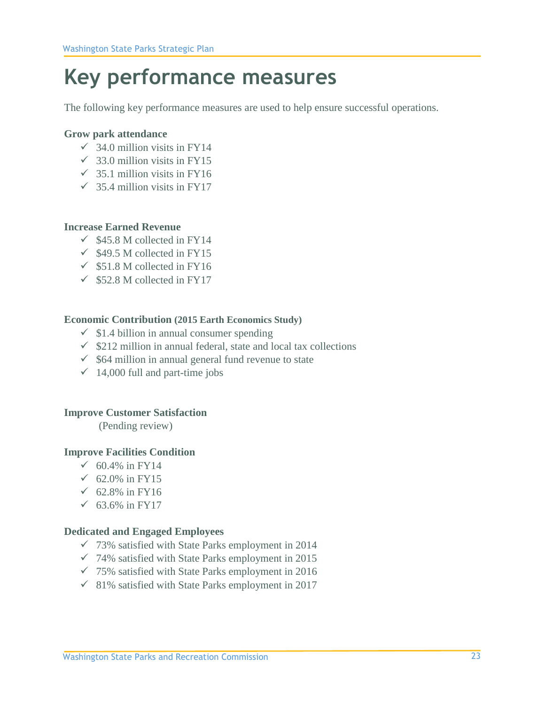# **Key performance measures**

The following key performance measures are used to help ensure successful operations.

#### **Grow park attendance**

- $\checkmark$  34.0 million visits in FY14
- $\checkmark$  33.0 million visits in FY15
- $\checkmark$  35.1 million visits in FY16
- $\checkmark$  35.4 million visits in FY17

#### **Increase Earned Revenue**

- $\checkmark$  \$45.8 M collected in FY14
- $\checkmark$  \$49.5 M collected in FY15
- $\checkmark$  \$51.8 M collected in FY16
- $\checkmark$  \$52.8 M collected in FY17

#### **Economic Contribution (2015 Earth Economics Study)**

- $\checkmark$  \$1.4 billion in annual consumer spending
- $\checkmark$  \$212 million in annual federal, state and local tax collections
- $\checkmark$  \$64 million in annual general fund revenue to state
- $\checkmark$  14,000 full and part-time jobs

#### **Improve Customer Satisfaction**

(Pending review)

#### **Improve Facilities Condition**

- $√ 60.4%$  in FY14
- $\checkmark$  62.0% in FY15
- $√ 62.8%$  in FY16
- ✓ 63.6% in FY17

#### **Dedicated and Engaged Employees**

- $\checkmark$  73% satisfied with State Parks employment in 2014
- $\checkmark$  74% satisfied with State Parks employment in 2015
- $\checkmark$  75% satisfied with State Parks employment in 2016
- $\checkmark$  81% satisfied with State Parks employment in 2017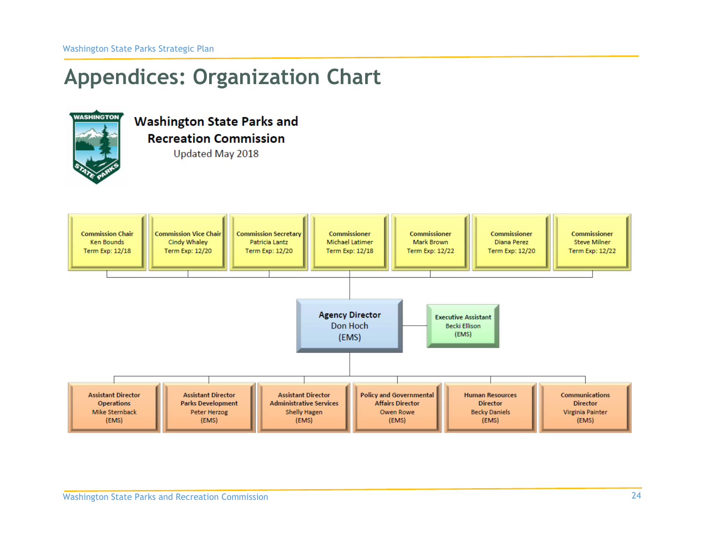# **Appendices: Organization Chart**



**Washington State Parks and Recreation Commission** Updated May 2018

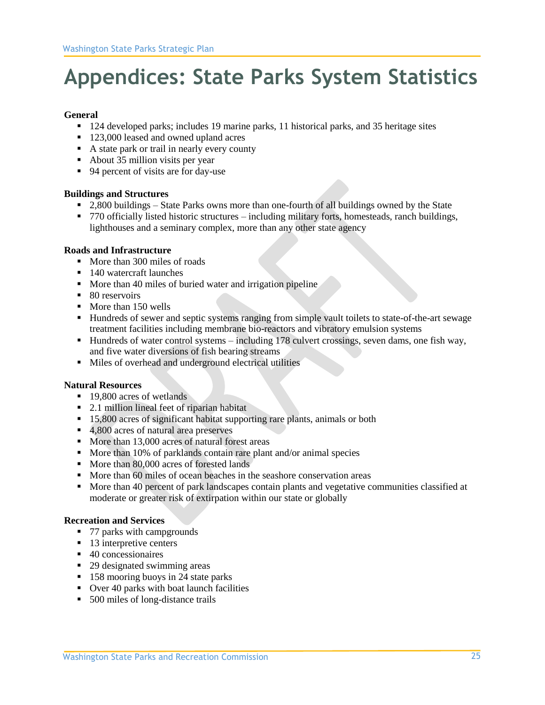# **Appendices: State Parks System Statistics**

#### **General**

- 124 developed parks; includes 19 marine parks, 11 historical parks, and 35 heritage sites
- 123,000 leased and owned upland acres
- A state park or trail in nearly every county
- About 35 million visits per year
- 94 percent of visits are for day-use

#### **Buildings and Structures**

- 2,800 buildings State Parks owns more than one-fourth of all buildings owned by the State
- 770 officially listed historic structures including military forts, homesteads, ranch buildings, lighthouses and a seminary complex, more than any other state agency

#### **Roads and Infrastructure**

- More than 300 miles of roads
- 140 watercraft launches
- More than 40 miles of buried water and irrigation pipeline
- 80 reservoirs
- More than 150 wells
- Hundreds of sewer and septic systems ranging from simple vault toilets to state-of-the-art sewage treatment facilities including membrane bio-reactors and vibratory emulsion systems
- Hundreds of water control systems including 178 culvert crossings, seven dams, one fish way, and five water diversions of fish bearing streams
- Miles of overhead and underground electrical utilities

#### **Natural Resources**

- 19,800 acres of wetlands
- 2.1 million lineal feet of riparian habitat
- 15,800 acres of significant habitat supporting rare plants, animals or both
- 4,800 acres of natural area preserves
- More than 13,000 acres of natural forest areas
- More than 10% of parklands contain rare plant and/or animal species
- More than 80,000 acres of forested lands
- More than 60 miles of ocean beaches in the seashore conservation areas
- More than 40 percent of park landscapes contain plants and vegetative communities classified at moderate or greater risk of extirpation within our state or globally

#### **Recreation and Services**

- 77 parks with campgrounds
- 13 interpretive centers
- 40 concessionaires
- 29 designated swimming areas
- 158 mooring buoys in 24 state parks
- Over 40 parks with boat launch facilities
- 500 miles of long-distance trails